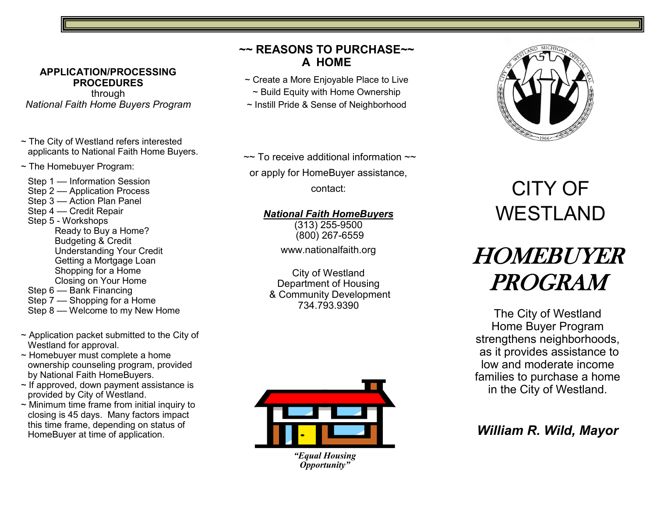#### **APPLICATION/PROCESSING PROCEDURES**

through *National Faith Home Buyers Program*

- ~ The City of Westland refers interested applicants to National Faith Home Buyers.
- ~ The Homebuyer Program:

Step 1 - Information Session Step 2 –– Application Process Step 3 –– Action Plan Panel Step 4 –– Credit Repair Step 5 - Workshops Ready to Buy a Home? Budgeting & Credit Understanding Your Credit Getting a Mortgage Loan Shopping for a Home Closing on Your Home Step 6 –– Bank Financing Step 7 –– Shopping for a Home

- Step 8 –– Welcome to my New Home
- $\sim$  Application packet submitted to the City of Westland for approval.
- ~ Homebuyer must complete a home ownership counseling program, provided by National Faith HomeBuyers.
- $\sim$  If approved, down payment assistance is provided by City of Westland.
- ~ Minimum time frame from initial inquiry to closing is 45 days. Many factors impact this time frame, depending on status of HomeBuyer at time of application.

## **~~ REASONS TO PURCHASE~~ A HOME**

- ~ Create a More Enjoyable Place to Live
	- ~ Build Equity with Home Ownership
- ~ Instill Pride & Sense of Neighborhood

 $\sim$  To receive additional information  $\sim$ or apply for HomeBuyer assistance,

contact:

### *National Faith HomeBuyers*

(313) 255-9500 (800) 267-6559 www.nationalfaith.org

City of Westland Department of Housing & Community Development 734.793.9390



*"Equal Housing Opportunity"*



# CITY OF WESTLAND

# HOMEBUYER PROGRAM

The City of Westland Home Buyer Program strengthens neighborhoods, as it provides assistance to low and moderate income families to purchase a home in the City of Westland.

# *William R. Wild, Mayor*